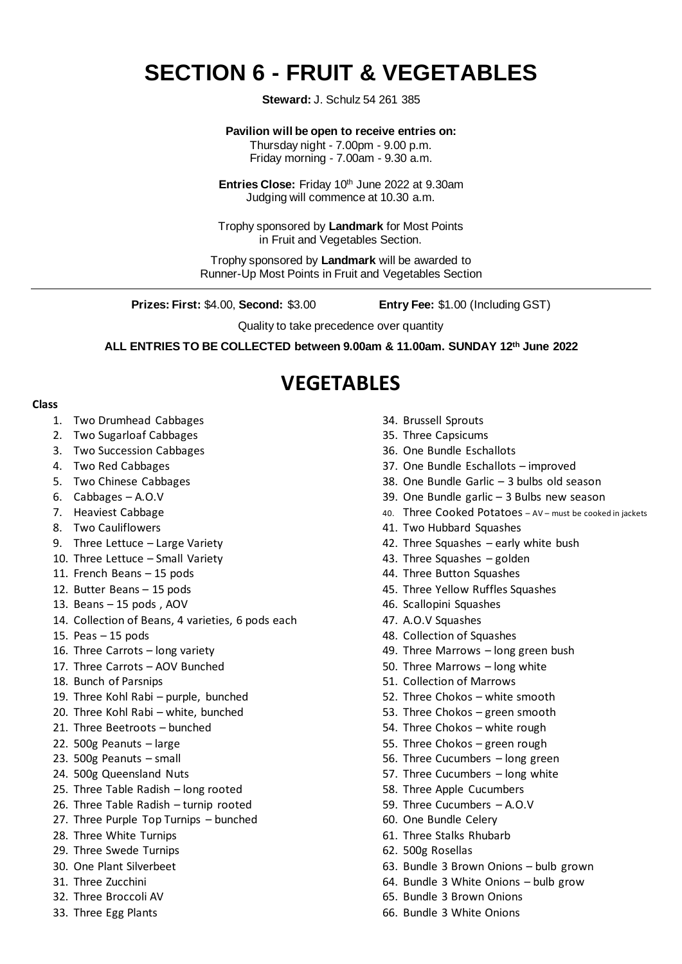# **SECTION 6 - FRUIT & VEGETABLES**

**Steward:** J. Schulz 54 261 385

#### **Pavilion will be open to receive entries on:**

Thursday night - 7.00pm - 9.00 p.m. Friday morning - 7.00am - 9.30 a.m.

Entries Close: Friday 10<sup>th</sup> June 2022 at 9.30am Judging will commence at 10.30 a.m.

Trophy sponsored by **Landmark** for Most Points in Fruit and Vegetables Section.

Trophy sponsored by **Landmark** will be awarded to Runner-Up Most Points in Fruit and Vegetables Section

**Prizes: First:** \$4.00, **Second:** \$3.00 **Entry Fee:** \$1.00 (Including GST)

Quality to take precedence over quantity

**ALL ENTRIES TO BE COLLECTED between 9.00am & 11.00am. SUNDAY 12 th June 2022**

## **VEGETABLES**

#### **Class**

- 1. Two Drumhead Cabbages
- 2. Two Sugarloaf Cabbages
- 3. Two Succession Cabbages
- 4. Two Red Cabbages
- 5. Two Chinese Cabbages
- 6. Cabbages A.O.V
- 7. Heaviest Cabbage
- 8. Two Cauliflowers
- 9. Three Lettuce Large Variety
- 10. Three Lettuce Small Variety
- 11. French Beans 15 pods
- 12. Butter Beans 15 pods
- 13. Beans 15 pods , AOV
- 14. Collection of Beans, 4 varieties, 6 pods each
- 15. Peas  $-15$  pods
- 16. Three Carrots long variety
- 17. Three Carrots AOV Bunched
- 18. Bunch of Parsnips
- 19. Three Kohl Rabi purple, bunched
- 20. Three Kohl Rabi white, bunched
- 21. Three Beetroots bunched
- 22. 500g Peanuts large
- 23. 500g Peanuts small
- 24. 500g Queensland Nuts
- 25. Three Table Radish long rooted
- 26. Three Table Radish turnip rooted
- 27. Three Purple Top Turnips bunched
- 28. Three White Turnips
- 29. Three Swede Turnips
- 30. One Plant Silverbeet
- 31. Three Zucchini
- 32. Three Broccoli AV
- 33. Three Egg Plants
- 34. Brussell Sprouts
- 35. Three Capsicums
- 36. One Bundle Eschallots
- 37. One Bundle Eschallots improved
- 38. One Bundle Garlic 3 bulbs old season
- 39. One Bundle garlic 3 Bulbs new season
- 40. Three Cooked Potatoes AV must be cooked in jackets
- 41. Two Hubbard Squashes
- 42. Three Squashes early white bush
- 43. Three Squashes golden
- 44. Three Button Squashes
- 45. Three Yellow Ruffles Squashes
- 46. Scallopini Squashes
- 47. A.O.V Squashes
- 48. Collection of Squashes
- 49. Three Marrows long green bush
- 50. Three Marrows long white
- 51. Collection of Marrows
- 52. Three Chokos white smooth
- 53. Three Chokos green smooth
- 54. Three Chokos white rough
- 55. Three Chokos green rough
- 56. Three Cucumbers long green
- 57. Three Cucumbers long white
- 58. Three Apple Cucumbers
- 59. Three Cucumbers A.O.V
- 60. One Bundle Celery
- 61. Three Stalks Rhubarb
- 62. 500g Rosellas
- 63. Bundle 3 Brown Onions bulb grown
- 64. Bundle 3 White Onions bulb grow
- 65. Bundle 3 Brown Onions
- 66. Bundle 3 White Onions